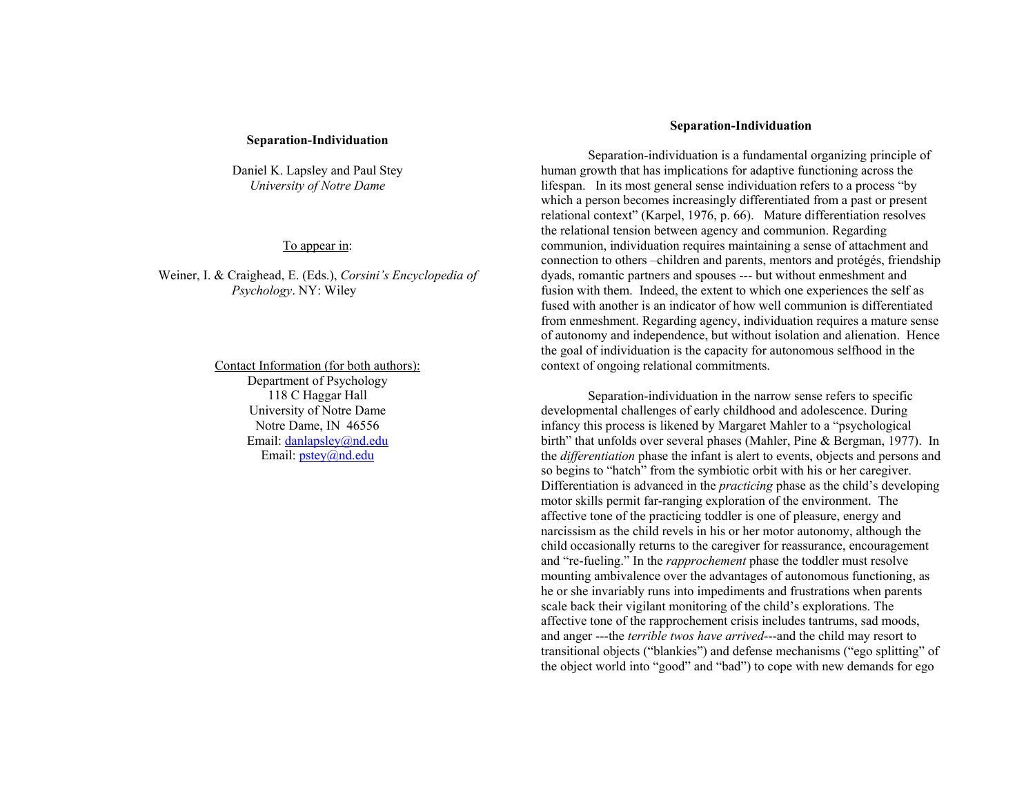## **Separation-In divid uation**

Daniel K. Lapsley an d Paul Stey *University of Notre Dame*

## To appear in:

Weiner, I. & Craig head, E. (E ds.), *Corsini's Encyclope dia of Psychology*. N Y: Wiley

> Contact Information (for both authors): Department of Psycholog y 118 C Hag gar Hall U niversity of Notre Dame Notre Dame, IN 46556 Email: danlapsley@nd.edu Email: *pstey@nd.edu*

## **Separation-In divid uation**

Separation-individuation is a fundamental organizing principle of human growth that has implications for adaptive functioning across the lifespan. In its most general sense individuation refers to a process "by which a person becomes increasingly differentiated from a past or present relational context" (Karpel, 1976, p. 66). Mature differentiation resolves the relational tension between agency an d com mu nion. Regardin g com mu nion, in dividuation requires maintainin g a sense of attach ment an d con nection to others –children an d parents, mentors an d protégés, frien dship d yads, romantic partners an d spouses --- b ut without en mesh ment an d fusion with them. Indeed, the extent to which one experiences the self as fused with another is an indicator of how well communion is differentiated from en mesh ment. Regardin g agency, in divid uation req uires a mature sense of autonomy an d in depen dence, b ut without isolation an d alienation. Hence the goal of in dividuation is the capacity for autonomous selfhood in the context of on goin g relational com mitments.

Separation-in divid uation in the narrow sense refers to specific develop mental challen ges of early child hood an d adolescence. During infancy this process is likened b y Margaret Mahler to a "psychological birth" that u nfolds over several p hases (Mahler, Pine & Berg man, 1977). In the *differentiation* phase the infant is alert to events, objects and persons and so begins to "hatch" from the sy mbiotic orbit with his or her caregiver. Differentiation is ad vanced in the *practicing* p hase as the child's developin g motor skills permit far-ran gin g ex ploration of the en viron ment. T he affective tone of the practicing toddler is one of pleasure, energy and narcissism as the child revels in his or her motor autonomy, although the child occasio nally returns to the caregiver for reassurance, encouragement and "re-fueling." In the *rapprochement* phase the toddler must resolve mou ntin g ambivalence over the ad vantages of autonomous fu nctionin g, as he or she in variably ru ns into impediments an d frustrations w hen parents scale back their vigilant monitorin g of the child's ex plorations. T he affective tone of the rap prochement crisis inclu des tantru ms, sad moods, an d an ger ---the *terrible twos have arrived*---an d the child may resort to transitional objects ("blan kies") an d defense mechanisms ("ego splittin g" of the object world into "good" an d "bad") to cope with new deman ds for ego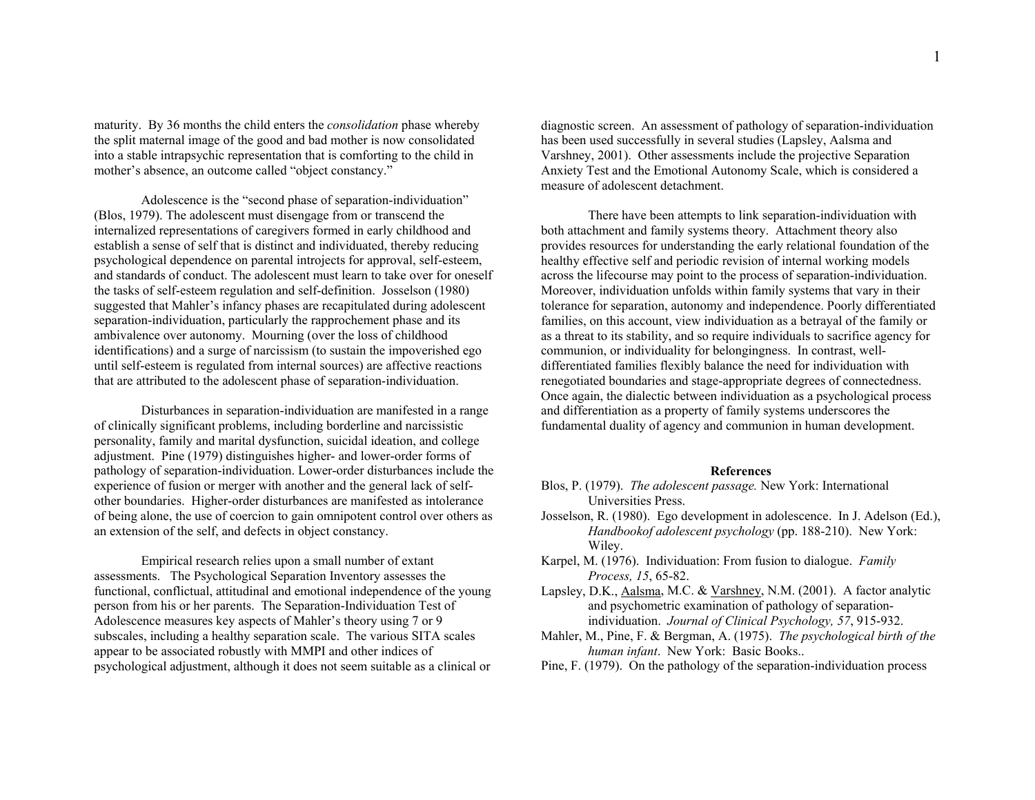maturity. B y 36 months the child enters the *consolidation* p hase w hereb y the split maternal image of the good an d bad mother is now consolidated into a stable intrapsychic representation that is comfortin g to the child in mother's absence, an outcome called "object constancy."

A dolesce nce is the "secon d p hase of separation-in dividuation" (Blos, 1979). T he adolescent must disen gage from or transcen d the internalized representations of caregivers formed in early child hood an d establish a sense of self that is distinct and individuated, thereby reducing psychological depen dence on parental introjects for ap proval, self-esteem, an d stan dards of con duct. T he adolescent must learn to take over for oneself the tasks of self-esteem reg ulation an d self-definition. Josselson (1980) suggested that Mahler's infancy phases are recapitulated during adolescent separation-individuation, particularly the rapprochement phase and its ambivalence over autonomy. Mournin g (over the loss of child hood identifications) an d a surge of narcissism (to sustain the impoverished ego until self-estee m is regulated from internal sources) are affective reactions that are attributed to the adolescent p hase of separation-in dividuation.

Disturbances in separation-in dividuation are manifested in a ran ge of clinically sig nificant problems, inclu din g borderline an d narcissistic personality, family an d marital d ysfu nction, suicidal ideation, an d college adjustment. Pine (1979) distin g uishes hig her- an d lower-order forms of patholog y of separation-in divid uation. Lower-order disturbances inclu de the ex perience of fusion or merger with another an d the general lack of selfother bou n daries. Hig her-order disturbances are manifested as intolerance of bein g alone, the use of coercion to gain omnipotent control over others as an extension of the self, an d defects in object constancy.

Empirical research relies upon a small number of extant assessments. T he Psychological Separation In ventory assesses the functional, conflictual, attitudinal and emotional independence of the young person from his or her parents. T he Separation-In dividuation Test of A dolescence measures key aspects of Mahler's theory usin g 7 or 9 subscales, including a healthy separation scale. T he various SIT A scales appear to be associated robustly with M M PI an d other in dices of psychological adjustment, althou g h it does not seem suitable as a clinical or

diagnostic screen. An assessment of pathology of separation-individuation has bee n used successfully in several studies (Lapsley, Aalsma and Varshney, 2001). Other assessments include the projective Separation A n xiety Test an d the E motional A utonomy Scale, w hich is considered a measure of adolescent detach ment.

T here have been attempts to lin k separation-in dividuation with both attach ment an d family systems theory. Attachment theory also provides resources for u n derstan din g the early relational fou n dation of the health y effective self an d periodic revision of internal workin g models across the lifecourse may point to the process of separation-in dividuation. Moreover, in dividuation u nfolds within family systems that vary in their tolerance for separation, autonomy an d in depen dence. Poorly differentiated families, on this account, view individuation as a betrayal of the family or as a threat to its stability, an d so require in dividuals to sacrifice agency for com mu nion, or in dividuality for belon gin g ness. In contrast, welldifferentiated families flexibly balance the need for in dividuation with renegotiated bou n daries an d stage-ap propriate degrees of con nected ness. Once again, the dialectic between indi viduation as a psychological process an d differentiation as a property of family systems u n derscores the fundamental duality of agency and communion in human development.

## **References**

- Blos, P. (1979). *The adolescent passage.* New York: International Universities Press.
- Josselson, R. (1980). E go develop ment in adolescence. In J. A delson (E d.), *Handbookof adolescent psychology* (p p. 188-210). New York: Wiley.
- Karpel, M. (1976). In dividuation: From fusion to dialog ue. *Family Process, 15*, 65-82.
- Lapsley, D.K., Aalsma, M.C. & Varshney, N.M. (2001). A factor analytic an d psychometric examination of patholog y of separationin divid uation. *Journal of Clinical Psychology, 57*, 915-932.
- Mahler, M., Pine, F. & Ber g man, A. (1975). *The psychological birth of the human infant*. New York: Basic Books..

Pine, F. (1979). On the pathology of the separation-individuation process